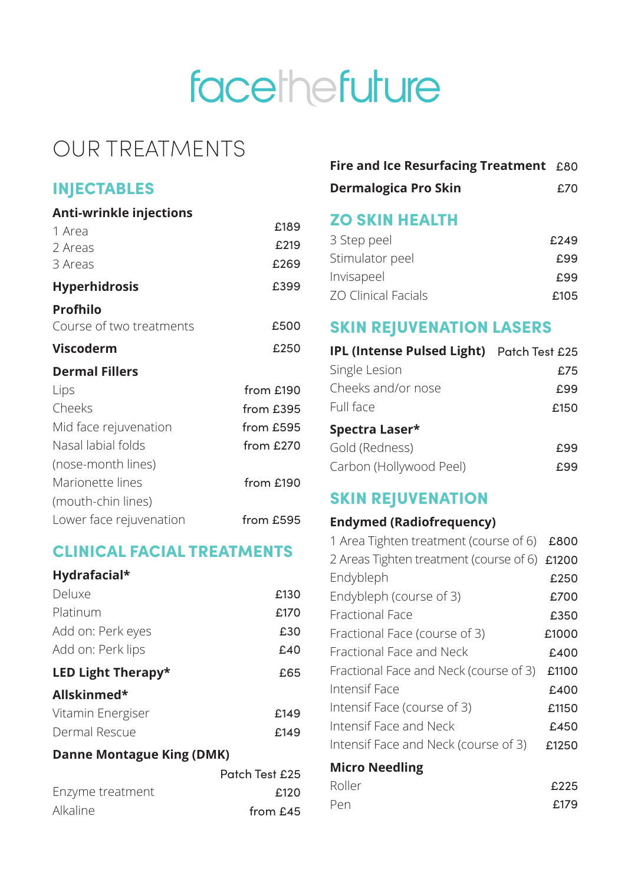# facethefuture

# OUR TREATMENTS

# INJECTABLES

#### **Anti-wrinkle injections**

| 1 Area                   | £189      |
|--------------------------|-----------|
| 2 Areas                  | £219      |
| 3 Areas                  | £269      |
| <b>Hyperhidrosis</b>     | £399      |
| <b>Profhilo</b>          |           |
| Course of two treatments | £500      |
| <b>Viscoderm</b>         | £250      |
| <b>Dermal Fillers</b>    |           |
| Lips                     | from £190 |
| Cheeks                   | from £395 |
| Mid face rejuvenation    | from £595 |
| Nasal labial folds       | from £270 |
| (nose-month lines)       |           |
| Marionette lines         | from £190 |
| (mouth-chin lines)       |           |
| Lower face rejuvenation  | from £595 |

#### CLINICAL FACIAL TREATMENTS

#### **Hydrafacial\***

| Deluxe                    | £130 |
|---------------------------|------|
| Platinum                  | £170 |
| Add on: Perk eyes         | £30  |
| Add on: Perk lips         | £40  |
| <b>LED Light Therapy*</b> | £65  |
| Allskinmed*               |      |
| Vitamin Energiser         | £149 |
| Dermal Rescue             | £149 |

#### **Danne Montague King (DMK)**

|                  | Patch Test £25 |
|------------------|----------------|
| Enzyme treatment | £120           |
| <b>Alkaline</b>  | from £45       |

|  |  |  | Fire and Ice Resurfacing Treatment £80 |  |  |
|--|--|--|----------------------------------------|--|--|
|--|--|--|----------------------------------------|--|--|

| <b>Dermalogica Pro Skin</b> | £70 |
|-----------------------------|-----|
|-----------------------------|-----|

### ZO SKIN HEALTH

| 3 Step peel                | £249 |
|----------------------------|------|
| Stimulator peel            | £99  |
| Invisapeel                 | £99  |
| <b>ZO Clinical Facials</b> | £105 |

## SKIN REJUVENATION LASERS

| IPL (Intense Pulsed Light) Patch Test £25 |      |
|-------------------------------------------|------|
| Single Lesion                             | £75  |
| Cheeks and/or nose                        | £99  |
| Full face                                 | £150 |
| Spectra Laser*                            |      |
| Gold (Redness)                            | £99  |
| Carbon (Hollywood Peel)                   |      |

# **SKIN REJUVENATION**

#### **Endymed (Radiofrequency)**

| 1 Area Tighten treatment (course of 6)        | £800  |
|-----------------------------------------------|-------|
| 2 Areas Tighten treatment (course of 6) £1200 |       |
| Endybleph                                     | £250  |
| Endybleph (course of 3)                       | £700  |
| Fractional Face                               | £350  |
| Fractional Face (course of 3)                 | £1000 |
| Fractional Face and Neck                      | £400  |
| Fractional Face and Neck (course of 3)        | £1100 |
| Intensif Face                                 | £400  |
| Intensif Face (course of 3)                   | £1150 |
| Intensif Face and Neck                        | £450  |
| Intensif Face and Neck (course of 3)          | £1250 |
| <b>Micro Needling</b>                         |       |
| Roller                                        | £225  |
| Pen                                           | £179  |